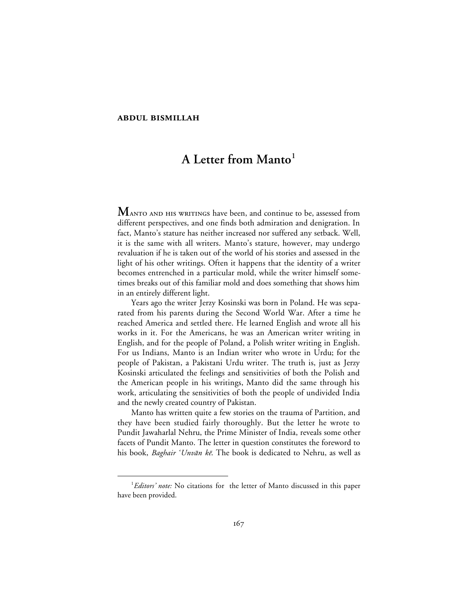## **ABDUL BISMILLAH**

# **A Letter from Manto<sup>1</sup>**

**MANTO AND HIS WRITINGS have been, and continue to be, assessed from** different perspectives, and one finds both admiration and denigration. In fact, Manto's stature has neither increased nor suffered any setback. Well, it is the same with all writers. Manto's stature, however, may undergo revaluation if he is taken out of the world of his stories and assessed in the light of his other writings. Often it happens that the identity of a writer becomes entrenched in a particular mold, while the writer himself sometimes breaks out of this familiar mold and does something that shows him in an entirely different light.

Years ago the writer Jerzy Kosinski was born in Poland. He was separated from his parents during the Second World War. After a time he reached America and settled there. He learned English and wrote all his works in it. For the Americans, he was an American writer writing in English, and for the people of Poland, a Polish writer writing in English. For us Indians, Manto is an Indian writer who wrote in Urdu; for the people of Pakistan, a Pakistani Urdu writer. The truth is, just as Jerzy Kosinski articulated the feelings and sensitivities of both the Polish and the American people in his writings, Manto did the same through his work, articulating the sensitivities of both the people of undivided India and the newly created country of Pakistan.

Manto has written quite a few stories on the trauma of Partition, and they have been studied fairly thoroughly. But the letter he wrote to Pundit Jawaharlal Nehru, the Prime Minister of India, reveals some other facets of Pundit Manto. The letter in question constitutes the foreword to his book, Baghair 'Unvān kē. The book is dedicated to Nehru, as well as

 $\overline{\phantom{a}}$ *Editors' note:* No citations for the letter of Manto discussed in this paper have been provided.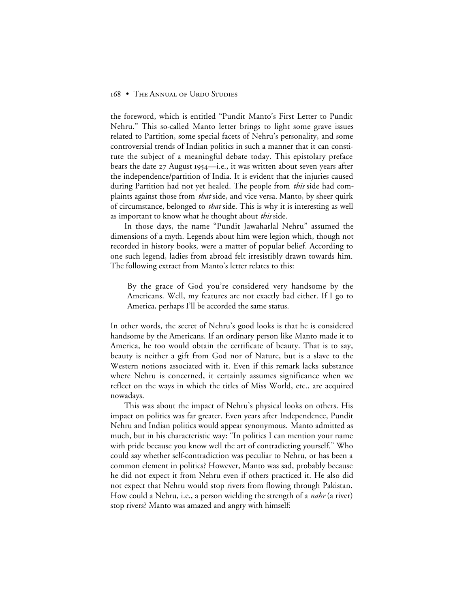the foreword, which is entitled "Pundit Manto's First Letter to Pundit Nehru." This so-called Manto letter brings to light some grave issues related to Partition, some special facets of Nehru's personality, and some controversial trends of Indian politics in such a manner that it can constitute the subject of a meaningful debate today. This epistolary preface bears the date  $27$  August 1954—i.e., it was written about seven years after the independence/partition of India. It is evident that the injuries caused during Partition had not yet healed. The people from *this* side had complaints against those from *that* side, and vice versa. Manto, by sheer quirk of circumstance, belonged to *that* side. This is why it is interesting as well as important to know what he thought about *this* side.

In those days, the name "Pundit Jawaharlal Nehru" assumed the dimensions of a myth. Legends about him were legion which, though not recorded in history books, were a matter of popular belief. According to one such legend, ladies from abroad felt irresistibly drawn towards him. The following extract from Manto's letter relates to this:

By the grace of God you're considered very handsome by the Americans. Well, my features are not exactly bad either. If I go to America, perhaps I'll be accorded the same status.

In other words, the secret of Nehru's good looks is that he is considered handsome by the Americans. If an ordinary person like Manto made it to America, he too would obtain the certificate of beauty. That is to say, beauty is neither a gift from God nor of Nature, but is a slave to the Western notions associated with it. Even if this remark lacks substance where Nehru is concerned, it certainly assumes significance when we reflect on the ways in which the titles of Miss World, etc., are acquired nowadays.

This was about the impact of Nehru's physical looks on others. His impact on politics was far greater. Even years after Independence, Pundit Nehru and Indian politics would appear synonymous. Manto admitted as much, but in his characteristic way: "In politics I can mention your name with pride because you know well the art of contradicting yourself." Who could say whether self-contradiction was peculiar to Nehru, or has been a common element in politics? However, Manto was sad, probably because he did not expect it from Nehru even if others practiced it. He also did not expect that Nehru would stop rivers from flowing through Pakistan. How could a Nehru, i.e., a person wielding the strength of a *nahr* (a river) stop rivers? Manto was amazed and angry with himself: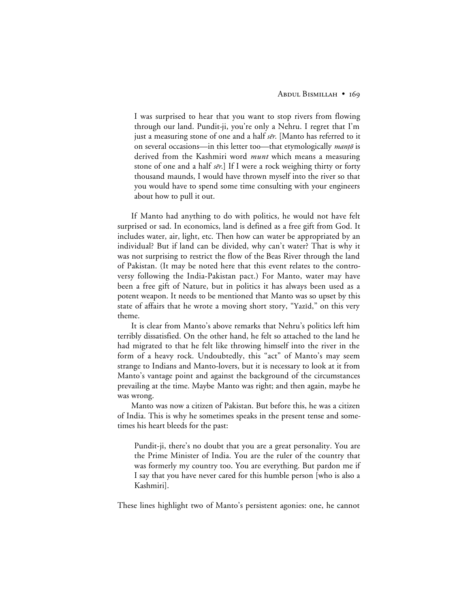I was surprised to hear that you want to stop rivers from flowing through our land. Pundit-ji, you're only a Nehru. I regret that I'm just a measuring stone of one and a half  $s\bar{e}r$ . [Manto has referred to it on several occasions—in this letter too—that etymologically *manto* is derived from the Kashmiri word *munt* which means a measuring stone of one and a half  $s\bar{e}r$ . If I were a rock weighing thirty or forty thousand maunds, I would have thrown myself into the river so that you would have to spend some time consulting with your engineers about how to pull it out.

If Manto had anything to do with politics, he would not have felt surprised or sad. In economics, land is defined as a free gift from God. It includes water, air, light, etc. Then how can water be appropriated by an individual? But if land can be divided, why can't water? That is why it was not surprising to restrict the flow of the Beas River through the land of Pakistan. (It may be noted here that this event relates to the controversy following the India-Pakistan pact.) For Manto, water may have been a free gift of Nature, but in politics it has always been used as a potent weapon. It needs to be mentioned that Manto was so upset by this state of affairs that he wrote a moving short story, "Yazīd," on this very theme.

It is clear from Manto's above remarks that Nehru's politics left him terribly dissatisfied. On the other hand, he felt so attached to the land he had migrated to that he felt like throwing himself into the river in the form of a heavy rock. Undoubtedly, this "act" of Manto's may seem strange to Indians and Manto-lovers, but it is necessary to look at it from Manto's vantage point and against the background of the circumstances prevailing at the time. Maybe Manto was right; and then again, maybe he was wrong.

Manto was now a citizen of Pakistan. But before this, he was a citizen of India. This is why he sometimes speaks in the present tense and sometimes his heart bleeds for the past:

Pundit-ji, there's no doubt that you are a great personality. You are the Prime Minister of India. You are the ruler of the country that was formerly my country too. You are everything. But pardon me if I say that you have never cared for this humble person [who is also a Kashmiri].

These lines highlight two of Manto's persistent agonies: one, he cannot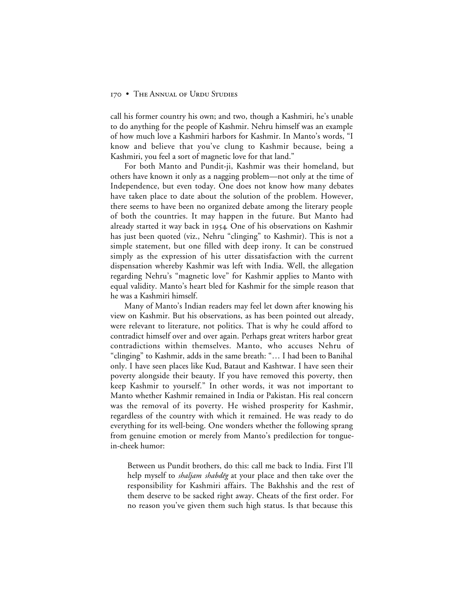call his former country his own; and two, though a Kashmiri, he's unable to do anything for the people of Kashmir. Nehru himself was an example of how much love a Kashmiri harbors for Kashmir. In Manto's words, "I know and believe that you've clung to Kashmir because, being a Kashmiri, you feel a sort of magnetic love for that land."

For both Manto and Pundit-ji, Kashmir was their homeland, but others have known it only as a nagging problem—not only at the time of Independence, but even today. One does not know how many debates have taken place to date about the solution of the problem. However, there seems to have been no organized debate among the literary people of both the countries. It may happen in the future. But Manto had already started it way back in 1954. One of his observations on Kashmir has just been quoted (viz., Nehru "clinging" to Kashmir). This is not a simple statement, but one filled with deep irony. It can be construed simply as the expression of his utter dissatisfaction with the current dispensation whereby Kashmir was left with India. Well, the allegation regarding Nehru's "magnetic love" for Kashmir applies to Manto with equal validity. Manto's heart bled for Kashmir for the simple reason that he was a Kashmiri himself.

Many of Manto's Indian readers may feel let down after knowing his view on Kashmir. But his observations, as has been pointed out already, were relevant to literature, not politics. That is why he could afford to contradict himself over and over again. Perhaps great writers harbor great contradictions within themselves. Manto, who accuses Nehru of "clinging" to Kashmir, adds in the same breath: "… I had been to Banihal only. I have seen places like Kud, Bataut and Kashtwar. I have seen their poverty alongside their beauty. If you have removed this poverty, then keep Kashmir to yourself." In other words, it was not important to Manto whether Kashmir remained in India or Pakistan. His real concern was the removal of its poverty. He wished prosperity for Kashmir, regardless of the country with which it remained. He was ready to do everything for its well-being. One wonders whether the following sprang from genuine emotion or merely from Manto's predilection for tonguein-cheek humor:

Between us Pundit brothers, do this: call me back to India. First I'll help myself to *shaljam shabdēg* at your place and then take over the responsibility for Kashmiri affairs. The Bakhshis and the rest of them deserve to be sacked right away. Cheats of the first order. For no reason you've given them such high status. Is that because this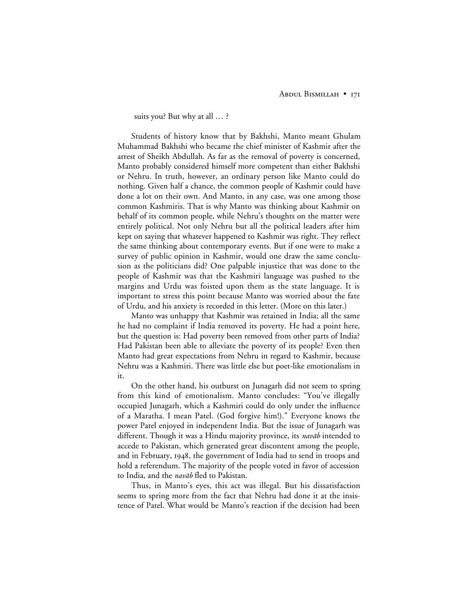suits you? But why at all … ?

Students of history know that by Bakhshi, Manto meant Ghulam Muhammad Bakhshi who became the chief minister of Kashmir after the arrest of Sheikh Abdullah. As far as the removal of poverty is concerned, Manto probably considered himself more competent than either Bakhshi or Nehru. In truth, however, an ordinary person like Manto could do nothing. Given half a chance, the common people of Kashmir could have done a lot on their own. And Manto, in any case, was one among those common Kashmiris. That is why Manto was thinking about Kashmir on behalf of its common people, while Nehru's thoughts on the matter were entirely political. Not only Nehru but all the political leaders after him kept on saying that whatever happened to Kashmir was right. They reflect the same thinking about contemporary events. But if one were to make a survey of public opinion in Kashmir, would one draw the same conclusion as the politicians did? One palpable injustice that was done to the people of Kashmir was that the Kashmiri language was pushed to the margins and Urdu was foisted upon them as the state language. It is important to stress this point because Manto was worried about the fate of Urdu, and his anxiety is recorded in this letter. (More on this later.)

Manto was unhappy that Kashmir was retained in India; all the same he had no complaint if India removed its poverty. He had a point here, but the question is: Had poverty been removed from other parts of India? Had Pakistan been able to alleviate the poverty of its people? Even then Manto had great expectations from Nehru in regard to Kashmir, because Nehru was a Kashmiri. There was little else but poet-like emotionalism in it.

On the other hand, his outburst on Junagarh did not seem to spring from this kind of emotionalism. Manto concludes: "You've illegally occupied Junagarh, which a Kashmiri could do only under the influence of a Maratha. I mean Patel. (God forgive him!)." Everyone knows the power Patel enjoyed in independent India. But the issue of Junagarh was different. Though it was a Hindu majority province, its *navab* intended to accede to Pakistan, which generated great discontent among the people, and in February, 1948, the government of India had to send in troops and hold a referendum. The majority of the people voted in favor of accession to India, and the *navāb* fled to Pakistan.

Thus, in Manto's eyes, this act was illegal. But his dissatisfaction seems to spring more from the fact that Nehru had done it at the insistence of Patel. What would be Manto's reaction if the decision had been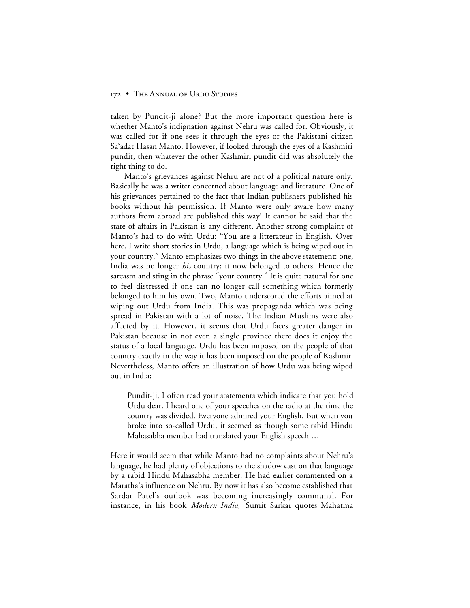taken by Pundit-ji alone? But the more important question here is whether Manto's indignation against Nehru was called for. Obviously, it was called for if one sees it through the eyes of the Pakistani citizen Sa'adat Hasan Manto. However, if looked through the eyes of a Kashmiri pundit, then whatever the other Kashmiri pundit did was absolutely the right thing to do.

Manto's grievances against Nehru are not of a political nature only. Basically he was a writer concerned about language and literature. One of his grievances pertained to the fact that Indian publishers published his books without his permission. If Manto were only aware how many authors from abroad are published this way! It cannot be said that the state of affairs in Pakistan is any different. Another strong complaint of Manto's had to do with Urdu: "You are a litterateur in English. Over here, I write short stories in Urdu, a language which is being wiped out in your country." Manto emphasizes two things in the above statement: one, India was no longer *his* country; it now belonged to others. Hence the sarcasm and sting in the phrase "your country." It is quite natural for one to feel distressed if one can no longer call something which formerly belonged to him his own. Two, Manto underscored the efforts aimed at wiping out Urdu from India. This was propaganda which was being spread in Pakistan with a lot of noise. The Indian Muslims were also affected by it. However, it seems that Urdu faces greater danger in Pakistan because in not even a single province there does it enjoy the status of a local language. Urdu has been imposed on the people of that country exactly in the way it has been imposed on the people of Kashmir. Nevertheless, Manto offers an illustration of how Urdu was being wiped out in India:

Pundit-ji, I often read your statements which indicate that you hold Urdu dear. I heard one of your speeches on the radio at the time the country was divided. Everyone admired your English. But when you broke into so-called Urdu, it seemed as though some rabid Hindu Mahasabha member had translated your English speech …

Here it would seem that while Manto had no complaints about Nehru's language, he had plenty of objections to the shadow cast on that language by a rabid Hindu Mahasabha member. He had earlier commented on a Maratha's influence on Nehru. By now it has also become established that Sardar Patel's outlook was becoming increasingly communal. For instance, in his book *Modern India*, Sumit Sarkar quotes Mahatma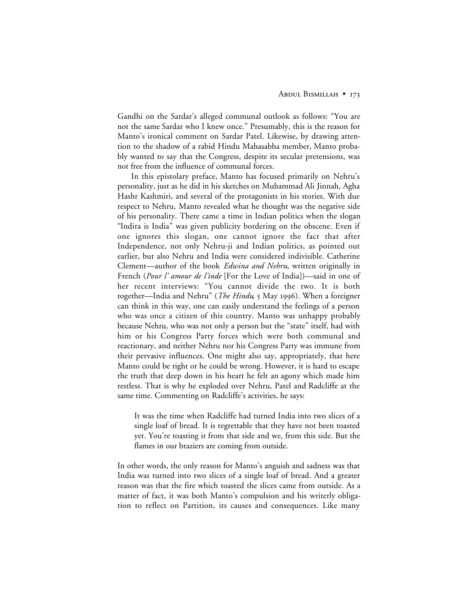Gandhi on the Sardar's alleged communal outlook as follows: "You are not the same Sardar who I knew once." Presumably, this is the reason for Manto's ironical comment on Sardar Patel. Likewise, by drawing attention to the shadow of a rabid Hindu Mahasabha member, Manto probably wanted to say that the Congress, despite its secular pretensions, was not free from the influence of communal forces.

In this epistolary preface, Manto has focused primarily on Nehru's personality, just as he did in his sketches on Muhammad Ali Jinnah, Agha Hashr Kashmiri, and several of the protagonists in his stories. With due respect to Nehru, Manto revealed what he thought was the negative side of his personality. There came a time in Indian politics when the slogan "Indira is India" was given publicity bordering on the obscene. Even if one ignores this slogan, one cannot ignore the fact that after Independence, not only Nehru-ji and Indian politics, as pointed out earlier, but also Nehru and India were considered indivisible. Catherine Clement—author of the book *Edwina and Nehru*, written originally in French (*Pour l' amour de l'inde* [For the Love of India])—said in one of her recent interviews: "You cannot divide the two. It is both together—India and Nehru" (*The Hindu*, 5 May 1996). When a foreigner can think in this way, one can easily understand the feelings of a person who was once a citizen of this country. Manto was unhappy probably because Nehru, who was not only a person but the "state" itself, had with him or his Congress Party forces which were both communal and reactionary, and neither Nehru nor his Congress Party was immune from their pervasive influences. One might also say, appropriately, that here Manto could be right or he could be wrong. However, it is hard to escape the truth that deep down in his heart he felt an agony which made him restless. That is why he exploded over Nehru, Patel and Radcliffe at the same time. Commenting on Radcliffe's activities, he says:

It was the time when Radcliffe had turned India into two slices of a single loaf of bread. It is regrettable that they have not been toasted yet. You're toasting it from that side and we, from this side. But the flames in our braziers are coming from outside.

In other words, the only reason for Manto's anguish and sadness was that India was turned into two slices of a single loaf of bread. And a greater reason was that the fire which toasted the slices came from outside. As a matter of fact, it was both Manto's compulsion and his writerly obligation to reflect on Partition, its causes and consequences. Like many